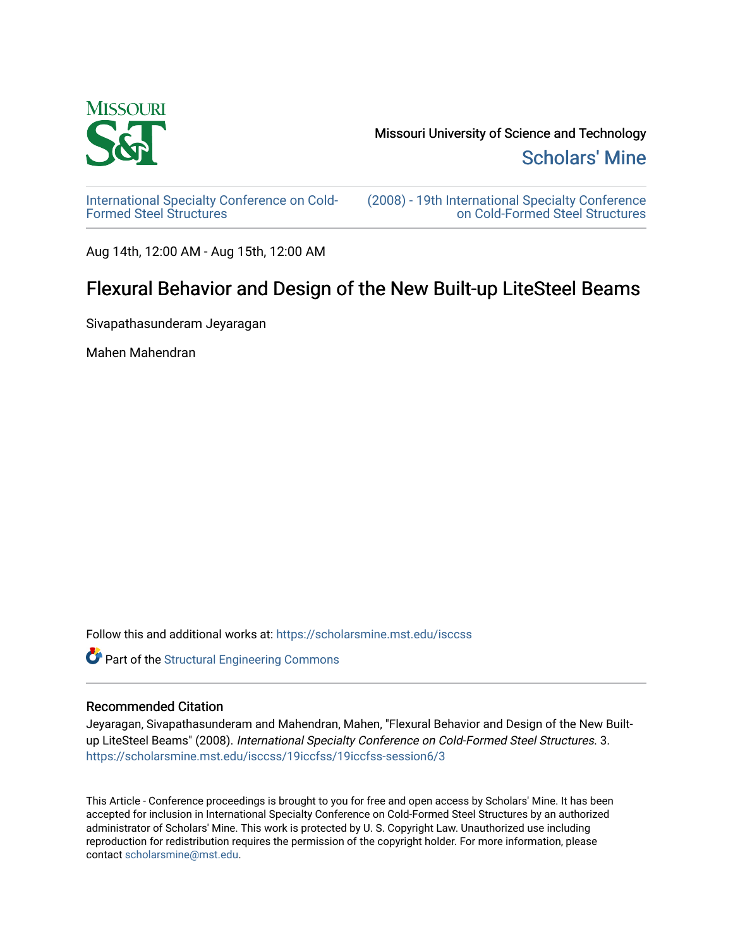

[Scholars' Mine](https://scholarsmine.mst.edu/) 

[International Specialty Conference on Cold-](https://scholarsmine.mst.edu/isccss)[Formed Steel Structures](https://scholarsmine.mst.edu/isccss) 

[\(2008\) - 19th International Specialty Conference](https://scholarsmine.mst.edu/isccss/19iccfss)  [on Cold-Formed Steel Structures](https://scholarsmine.mst.edu/isccss/19iccfss) 

Aug 14th, 12:00 AM - Aug 15th, 12:00 AM

# Flexural Behavior and Design of the New Built-up LiteSteel Beams

Sivapathasunderam Jeyaragan

Mahen Mahendran

Follow this and additional works at: [https://scholarsmine.mst.edu/isccss](https://scholarsmine.mst.edu/isccss?utm_source=scholarsmine.mst.edu%2Fisccss%2F19iccfss%2F19iccfss-session6%2F3&utm_medium=PDF&utm_campaign=PDFCoverPages) 

Part of the [Structural Engineering Commons](http://network.bepress.com/hgg/discipline/256?utm_source=scholarsmine.mst.edu%2Fisccss%2F19iccfss%2F19iccfss-session6%2F3&utm_medium=PDF&utm_campaign=PDFCoverPages) 

# Recommended Citation

Jeyaragan, Sivapathasunderam and Mahendran, Mahen, "Flexural Behavior and Design of the New Builtup LiteSteel Beams" (2008). International Specialty Conference on Cold-Formed Steel Structures. 3. [https://scholarsmine.mst.edu/isccss/19iccfss/19iccfss-session6/3](https://scholarsmine.mst.edu/isccss/19iccfss/19iccfss-session6/3?utm_source=scholarsmine.mst.edu%2Fisccss%2F19iccfss%2F19iccfss-session6%2F3&utm_medium=PDF&utm_campaign=PDFCoverPages)

This Article - Conference proceedings is brought to you for free and open access by Scholars' Mine. It has been accepted for inclusion in International Specialty Conference on Cold-Formed Steel Structures by an authorized administrator of Scholars' Mine. This work is protected by U. S. Copyright Law. Unauthorized use including reproduction for redistribution requires the permission of the copyright holder. For more information, please contact [scholarsmine@mst.edu](mailto:scholarsmine@mst.edu).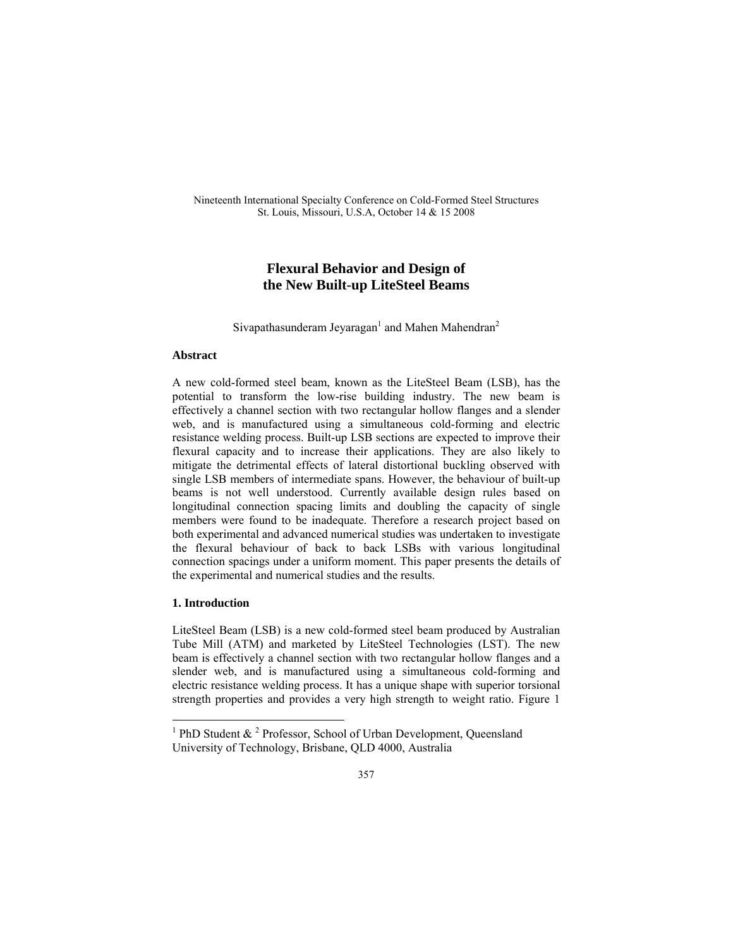Nineteenth International Specialty Conference on Cold-Formed Steel Structures St. Louis, Missouri, U.S.A, October 14 & 15 2008

# **Flexural Behavior and Design of the New Built-up LiteSteel Beams**

Sivapathasunderam Jeyaragan<sup>1</sup> and Mahen Mahendran<sup>2</sup>

# **Abstract**

A new cold-formed steel beam, known as the LiteSteel Beam (LSB), has the potential to transform the low-rise building industry. The new beam is effectively a channel section with two rectangular hollow flanges and a slender web, and is manufactured using a simultaneous cold-forming and electric resistance welding process. Built-up LSB sections are expected to improve their flexural capacity and to increase their applications. They are also likely to mitigate the detrimental effects of lateral distortional buckling observed with single LSB members of intermediate spans. However, the behaviour of built-up beams is not well understood. Currently available design rules based on longitudinal connection spacing limits and doubling the capacity of single members were found to be inadequate. Therefore a research project based on both experimental and advanced numerical studies was undertaken to investigate the flexural behaviour of back to back LSBs with various longitudinal connection spacings under a uniform moment. This paper presents the details of the experimental and numerical studies and the results.

## **1. Introduction**

 $\overline{a}$ 

LiteSteel Beam (LSB) is a new cold-formed steel beam produced by Australian Tube Mill (ATM) and marketed by LiteSteel Technologies (LST). The new beam is effectively a channel section with two rectangular hollow flanges and a slender web, and is manufactured using a simultaneous cold-forming and electric resistance welding process. It has a unique shape with superior torsional strength properties and provides a very high strength to weight ratio. Figure 1

<sup>&</sup>lt;sup>1</sup> PhD Student  $\&$  <sup>2</sup> Professor, School of Urban Development, Queensland University of Technology, Brisbane, QLD 4000, Australia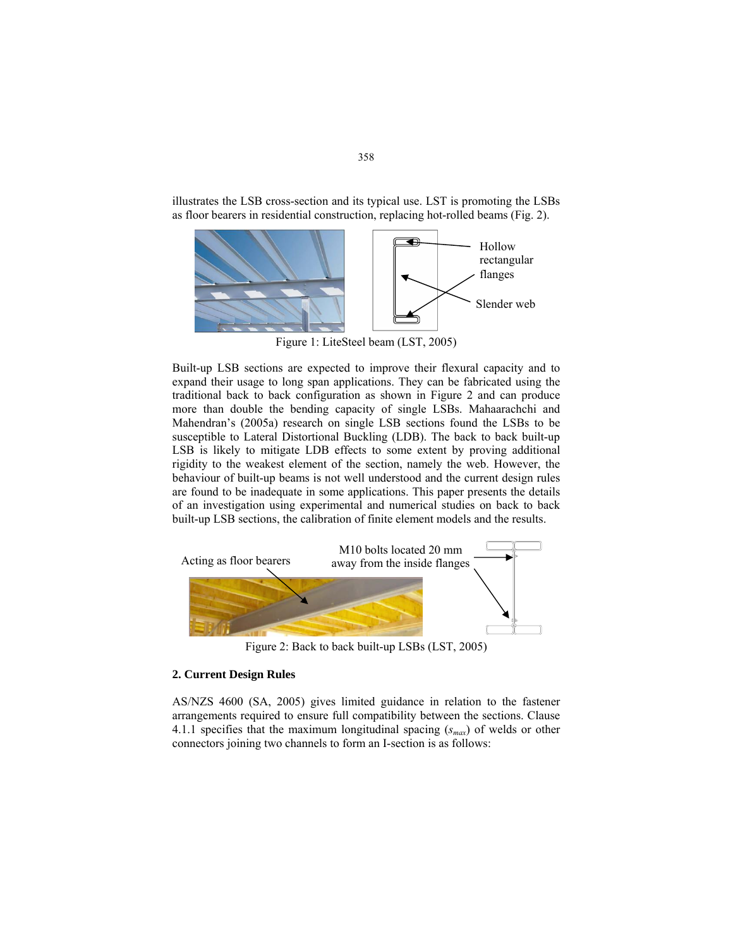

illustrates the LSB cross-section and its typical use. LST is promoting the LSBs as floor bearers in residential construction, replacing hot-rolled beams (Fig. 2).

Figure 1: LiteSteel beam (LST, 2005)

Built-up LSB sections are expected to improve their flexural capacity and to expand their usage to long span applications. They can be fabricated using the traditional back to back configuration as shown in Figure 2 and can produce more than double the bending capacity of single LSBs. Mahaarachchi and Mahendran's (2005a) research on single LSB sections found the LSBs to be susceptible to Lateral Distortional Buckling (LDB). The back to back built-up LSB is likely to mitigate LDB effects to some extent by proving additional rigidity to the weakest element of the section, namely the web. However, the behaviour of built-up beams is not well understood and the current design rules are found to be inadequate in some applications. This paper presents the details of an investigation using experimental and numerical studies on back to back built-up LSB sections, the calibration of finite element models and the results.



Figure 2: Back to back built-up LSBs (LST, 2005)

# **2. Current Design Rules**

AS/NZS 4600 (SA, 2005) gives limited guidance in relation to the fastener arrangements required to ensure full compatibility between the sections. Clause 4.1.1 specifies that the maximum longitudinal spacing (*smax*) of welds or other connectors joining two channels to form an I-section is as follows: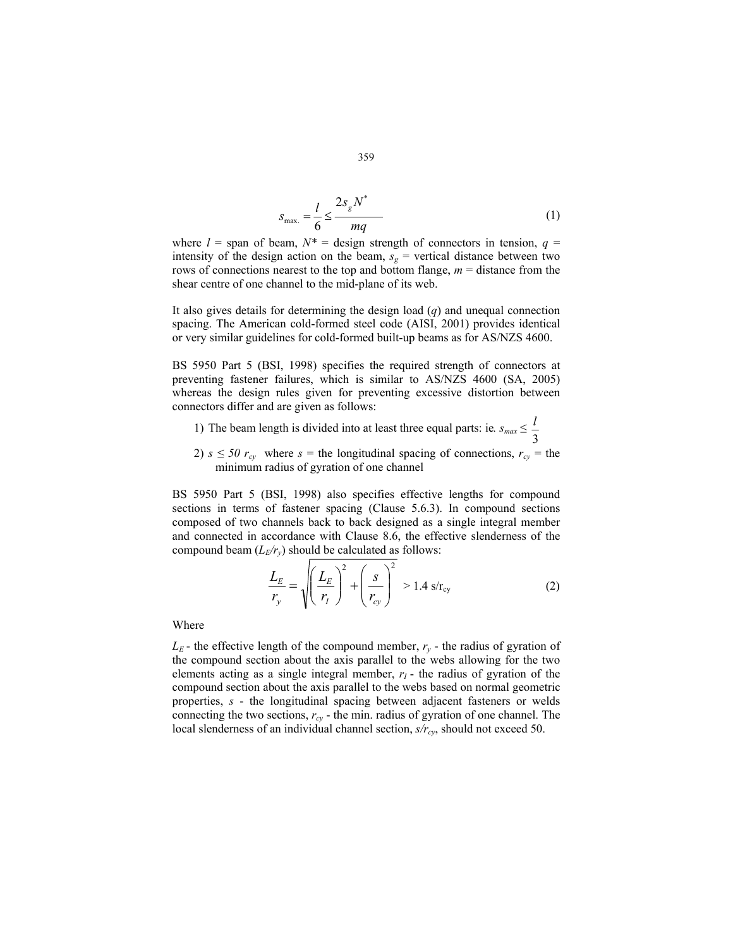$$
S_{\text{max.}} = \frac{l}{6} \le \frac{2s_g N^*}{mq} \tag{1}
$$

where  $l =$  span of beam,  $N^* =$  design strength of connectors in tension,  $q =$ intensity of the design action on the beam,  $s_g$  = vertical distance between two rows of connections nearest to the top and bottom flange, *m* = distance from the shear centre of one channel to the mid-plane of its web.

It also gives details for determining the design load (*q*) and unequal connection spacing. The American cold-formed steel code (AISI, 2001) provides identical or very similar guidelines for cold-formed built-up beams as for AS/NZS 4600.

BS 5950 Part 5 (BSI, 1998) specifies the required strength of connectors at preventing fastener failures, which is similar to AS/NZS 4600 (SA, 2005) whereas the design rules given for preventing excessive distortion between connectors differ and are given as follows:

- 1) The beam length is divided into at least three equal parts: ie.  $s_{max} \leq$ 3 *l*
- 2)  $s \le 50$   $r_{cy}$  where  $s =$  the longitudinal spacing of connections,  $r_{cy} =$  the minimum radius of gyration of one channel

BS 5950 Part 5 (BSI, 1998) also specifies effective lengths for compound sections in terms of fastener spacing (Clause 5.6.3). In compound sections composed of two channels back to back designed as a single integral member and connected in accordance with Clause 8.6, the effective slenderness of the compound beam  $(L_E/r_y)$  should be calculated as follows:

$$
\frac{L_E}{r_y} = \sqrt{\left(\frac{L_E}{r_I}\right)^2 + \left(\frac{s}{r_{cy}}\right)^2} > 1.4 \text{ s/r}_{cy}
$$
\n(2)

Where

 $L<sub>E</sub>$  - the effective length of the compound member,  $r<sub>v</sub>$  - the radius of gyration of the compound section about the axis parallel to the webs allowing for the two elements acting as a single integral member,  $r_I$  - the radius of gyration of the compound section about the axis parallel to the webs based on normal geometric properties, *s* - the longitudinal spacing between adjacent fasteners or welds connecting the two sections,  $r_{cy}$  - the min. radius of gyration of one channel. The local slenderness of an individual channel section, *s/rcy*, should not exceed 50.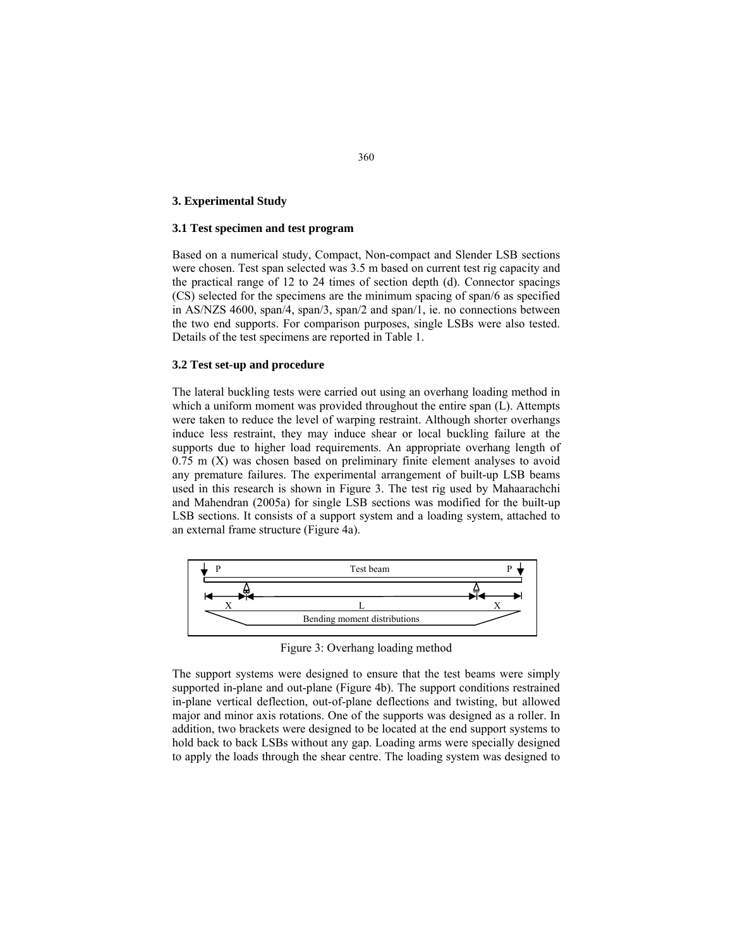# **3. Experimental Study**

# **3.1 Test specimen and test program**

Based on a numerical study, Compact, Non-compact and Slender LSB sections were chosen. Test span selected was 3.5 m based on current test rig capacity and the practical range of 12 to 24 times of section depth (d). Connector spacings (CS) selected for the specimens are the minimum spacing of span/6 as specified in AS/NZS 4600, span/4, span/3, span/2 and span/1, ie. no connections between the two end supports. For comparison purposes, single LSBs were also tested. Details of the test specimens are reported in Table 1.

# **3.2 Test set-up and procedure**

The lateral buckling tests were carried out using an overhang loading method in which a uniform moment was provided throughout the entire span (L). Attempts were taken to reduce the level of warping restraint. Although shorter overhangs induce less restraint, they may induce shear or local buckling failure at the supports due to higher load requirements. An appropriate overhang length of  $0.75$  m  $(X)$  was chosen based on preliminary finite element analyses to avoid any premature failures. The experimental arrangement of built-up LSB beams used in this research is shown in Figure 3. The test rig used by Mahaarachchi and Mahendran (2005a) for single LSB sections was modified for the built-up LSB sections. It consists of a support system and a loading system, attached to an external frame structure (Figure 4a).



Figure 3: Overhang loading method

The support systems were designed to ensure that the test beams were simply supported in-plane and out-plane (Figure 4b). The support conditions restrained in-plane vertical deflection, out-of-plane deflections and twisting, but allowed major and minor axis rotations. One of the supports was designed as a roller. In addition, two brackets were designed to be located at the end support systems to hold back to back LSBs without any gap. Loading arms were specially designed to apply the loads through the shear centre. The loading system was designed to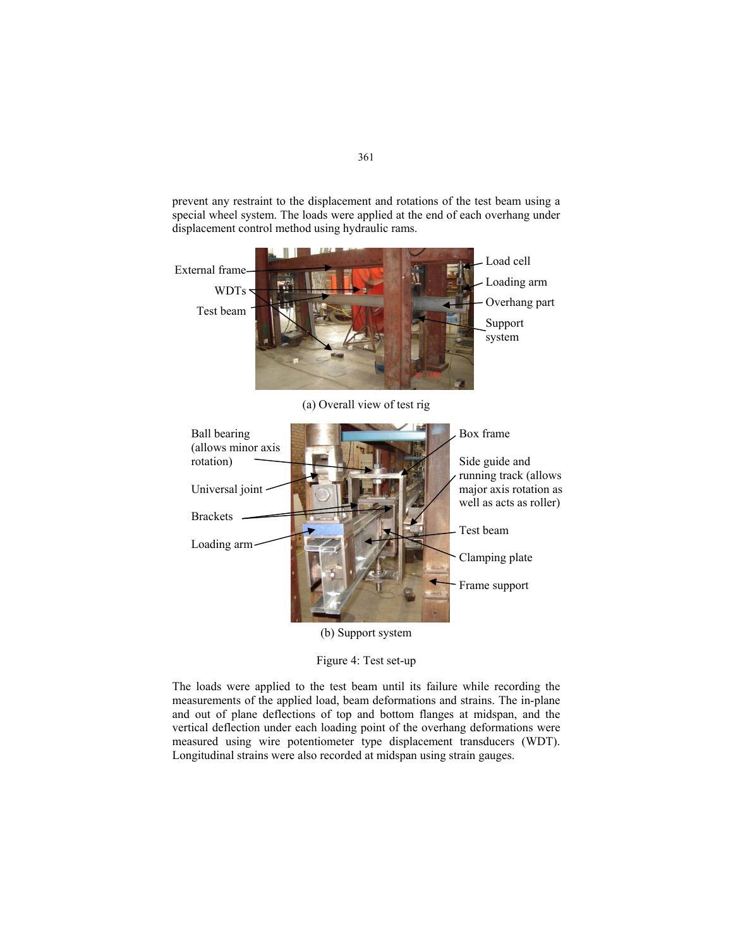prevent any restraint to the displacement and rotations of the test beam using a special wheel system. The loads were applied at the end of each overhang under displacement control method using hydraulic rams.



Figure 4: Test set-up

The loads were applied to the test beam until its failure while recording the measurements of the applied load, beam deformations and strains. The in-plane and out of plane deflections of top and bottom flanges at midspan, and the vertical deflection under each loading point of the overhang deformations were measured using wire potentiometer type displacement transducers (WDT). Longitudinal strains were also recorded at midspan using strain gauges.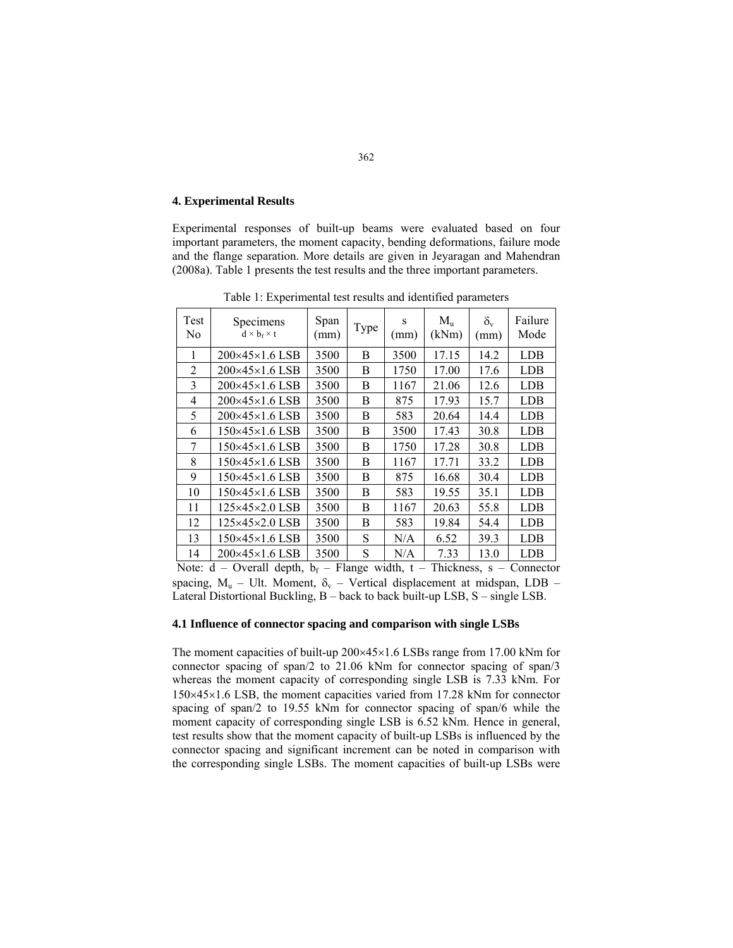# **4. Experimental Results**

Experimental responses of built-up beams were evaluated based on four important parameters, the moment capacity, bending deformations, failure mode and the flange separation. More details are given in Jeyaragan and Mahendran (2008a). Table 1 presents the test results and the three important parameters.

| Test<br>No. | Specimens<br>$d \times b_f \times t$ | Span<br>(mm) | Type | S<br>(mm) | $M_{\rm u}$<br>(kNm) | $\delta_{\rm v}$<br>(mm) | Failure<br>Mode |
|-------------|--------------------------------------|--------------|------|-----------|----------------------|--------------------------|-----------------|
| 1           | $200\times45\times1.6$ LSB           | 3500         | B    | 3500      | 17.15                | 14.2                     | LDB             |
| 2           | $200\times45\times1.6$ LSB           | 3500         | B    | 1750      | 17.00                | 17.6                     | LDB             |
| 3           | $200\times45\times1.6$ LSB           | 3500         | B    | 1167      | 21.06                | 12.6                     | LDB             |
| 4           | $200\times45\times1.6$ LSB           | 3500         | B    | 875       | 17.93                | 15.7                     | LDB             |
| 5           | $200\times45\times1.6$ LSB           | 3500         | B    | 583       | 20.64                | 14.4                     | LDB             |
| 6           | $150\times45\times1.6$ LSB           | 3500         | B    | 3500      | 17.43                | 30.8                     | LDB             |
| 7           | $150\times45\times1.6$ LSB           | 3500         | B    | 1750      | 17.28                | 30.8                     | LDB             |
| 8           | $150\times45\times1.6$ LSB           | 3500         | B    | 1167      | 17.71                | 33.2                     | LDB             |
| 9           | 150×45×1.6 LSB                       | 3500         | B    | 875       | 16.68                | 30.4                     | LDB             |
| 10          | $150\times45\times1.6$ LSB           | 3500         | B    | 583       | 19.55                | 35.1                     | LDB             |
| 11          | $125\times45\times2.0$ LSB           | 3500         | B    | 1167      | 20.63                | 55.8                     | LDB             |
| 12          | $125\times45\times2.0$ LSB           | 3500         | B    | 583       | 19.84                | 54.4                     | LDB             |
| 13          | $150\times45\times1.6$ LSB           | 3500         | S    | N/A       | 6.52                 | 39.3                     | LDB             |
| 14          | $200\times45\times1.6$ LSB           | 3500         | S    | N/A       | 7.33                 | 13.0                     | LDB             |

Table 1: Experimental test results and identified parameters

Note:  $d -$  Overall depth,  $b_f -$  Flange width,  $t -$  Thickness,  $s -$  Connector spacing,  $M_u$  – Ult. Moment,  $\delta_v$  – Vertical displacement at midspan, LDB – Lateral Distortional Buckling, B – back to back built-up LSB, S – single LSB.

# **4.1 Influence of connector spacing and comparison with single LSBs**

The moment capacities of built-up 200×45×1.6 LSBs range from 17.00 kNm for connector spacing of span/2 to 21.06 kNm for connector spacing of span/3 whereas the moment capacity of corresponding single LSB is 7.33 kNm. For 150×45×1.6 LSB, the moment capacities varied from 17.28 kNm for connector spacing of span/2 to 19.55 kNm for connector spacing of span/6 while the moment capacity of corresponding single LSB is 6.52 kNm. Hence in general, test results show that the moment capacity of built-up LSBs is influenced by the connector spacing and significant increment can be noted in comparison with the corresponding single LSBs. The moment capacities of built-up LSBs were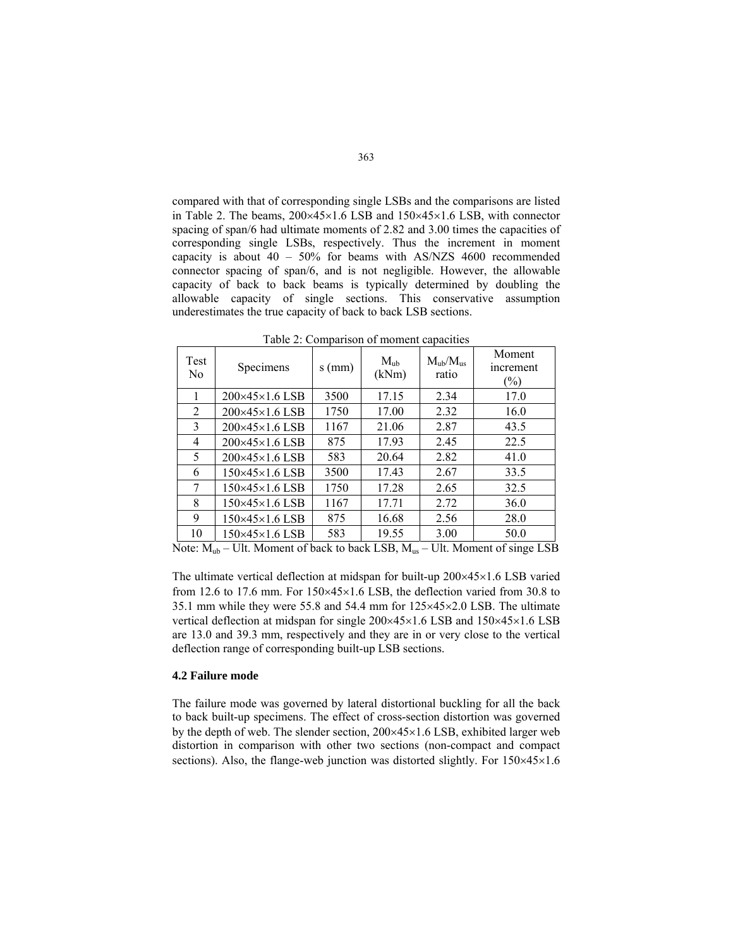compared with that of corresponding single LSBs and the comparisons are listed in Table 2. The beams, 200×45×1.6 LSB and 150×45×1.6 LSB, with connector spacing of span/6 had ultimate moments of 2.82 and 3.00 times the capacities of corresponding single LSBs, respectively. Thus the increment in moment capacity is about 40 – 50% for beams with AS/NZS 4600 recommended connector spacing of span/6, and is not negligible. However, the allowable capacity of back to back beams is typically determined by doubling the allowable capacity of single sections. This conservative assumption underestimates the true capacity of back to back LSB sections.

Table 2: Comparison of moment capacities

| Test<br>N <sub>0</sub> | Specimens                  | $s$ (mm) | $M_{ub}$<br>(kNm) | $M_{ub}/M_{us}$<br>ratio | Moment<br>increment<br>$(\%)$ |
|------------------------|----------------------------|----------|-------------------|--------------------------|-------------------------------|
| 1                      | $200\times45\times1.6$ LSB | 3500     | 17.15             | 2.34                     | 17.0                          |
| 2                      | 200×45×1.6 LSB             | 1750     | 17.00             | 2.32                     | 16.0                          |
| 3                      | $200\times45\times1.6$ LSB | 1167     | 21.06             | 2.87                     | 43.5                          |
| 4                      | $200\times45\times1.6$ LSB | 875      | 17.93             | 2.45                     | 22.5                          |
| 5                      | $200\times45\times1.6$ LSB | 583      | 20.64             | 2.82                     | 41.0                          |
| 6                      | 150×45×1.6 LSB             | 3500     | 17.43             | 2.67                     | 33.5                          |
| 7                      | $150\times45\times1.6$ LSB | 1750     | 17.28             | 2.65                     | 32.5                          |
| 8                      | $150\times45\times1.6$ LSB | 1167     | 17.71             | 2.72                     | 36.0                          |
| 9                      | $150\times45\times1.6$ LSB | 875      | 16.68             | 2.56                     | 28.0                          |
| 10                     | 150×45×1.6 LSB             | 583      | 19.55             | 3.00                     | 50.0                          |

Note:  $M_{ub}$  – Ult. Moment of back to back LSB,  $M_{us}$  – Ult. Moment of singe LSB

The ultimate vertical deflection at midspan for built-up 200×45×1.6 LSB varied from 12.6 to 17.6 mm. For 150×45×1.6 LSB, the deflection varied from 30.8 to 35.1 mm while they were 55.8 and 54.4 mm for 125×45×2.0 LSB. The ultimate vertical deflection at midspan for single 200×45×1.6 LSB and 150×45×1.6 LSB are 13.0 and 39.3 mm, respectively and they are in or very close to the vertical deflection range of corresponding built-up LSB sections.

#### **4.2 Failure mode**

The failure mode was governed by lateral distortional buckling for all the back to back built-up specimens. The effect of cross-section distortion was governed by the depth of web. The slender section, 200×45×1.6 LSB, exhibited larger web distortion in comparison with other two sections (non-compact and compact sections). Also, the flange-web junction was distorted slightly. For  $150 \times 45 \times 1.6$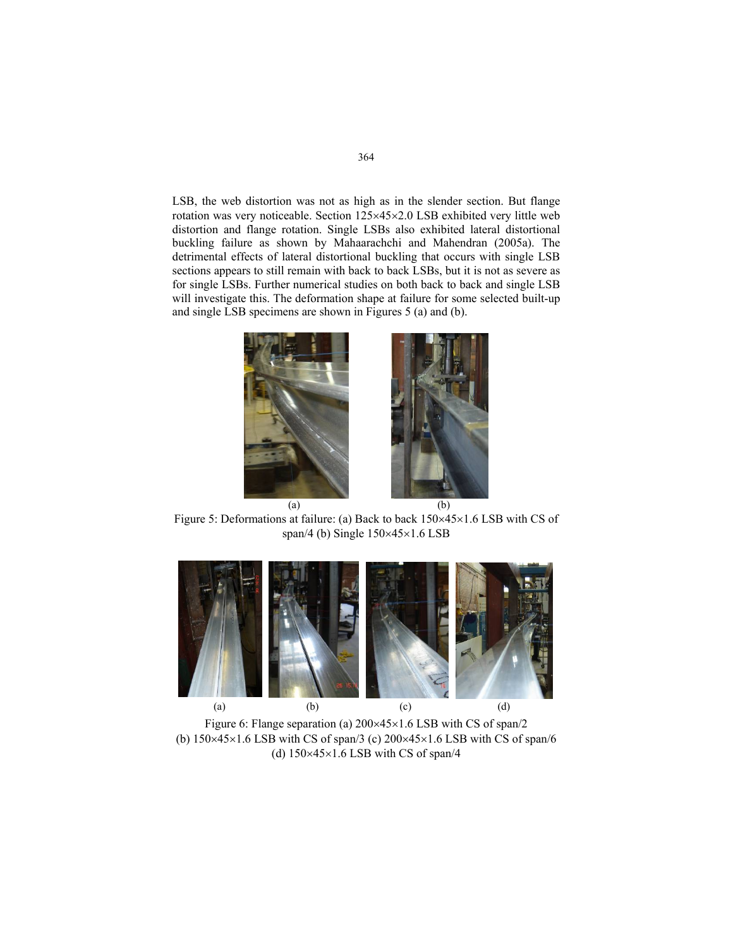LSB, the web distortion was not as high as in the slender section. But flange rotation was very noticeable. Section 125×45×2.0 LSB exhibited very little web distortion and flange rotation. Single LSBs also exhibited lateral distortional buckling failure as shown by Mahaarachchi and Mahendran (2005a). The detrimental effects of lateral distortional buckling that occurs with single LSB sections appears to still remain with back to back LSBs, but it is not as severe as for single LSBs. Further numerical studies on both back to back and single LSB will investigate this. The deformation shape at failure for some selected built-up and single LSB specimens are shown in Figures 5 (a) and (b).



Figure 5: Deformations at failure: (a) Back to back 150×45×1.6 LSB with CS of span/4 (b) Single 150×45×1.6 LSB



Figure 6: Flange separation (a) 200×45×1.6 LSB with CS of span/2 (b)  $150\times45\times1.6$  LSB with CS of span/3 (c)  $200\times45\times1.6$  LSB with CS of span/6 (d)  $150 \times 45 \times 1.6$  LSB with CS of span/4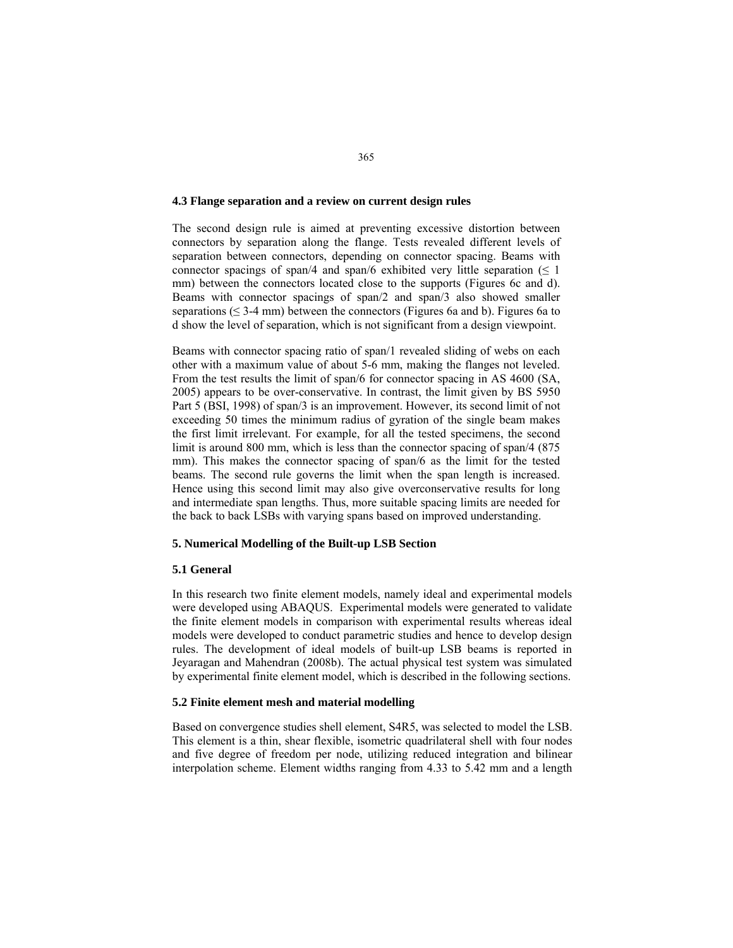#### **4.3 Flange separation and a review on current design rules**

The second design rule is aimed at preventing excessive distortion between connectors by separation along the flange. Tests revealed different levels of separation between connectors, depending on connector spacing. Beams with connector spacings of span/4 and span/6 exhibited very little separation ( $\leq 1$ ) mm) between the connectors located close to the supports (Figures 6c and d). Beams with connector spacings of span/2 and span/3 also showed smaller separations ( $\leq$  3-4 mm) between the connectors (Figures 6a and b). Figures 6a to d show the level of separation, which is not significant from a design viewpoint.

Beams with connector spacing ratio of span/1 revealed sliding of webs on each other with a maximum value of about 5-6 mm, making the flanges not leveled. From the test results the limit of span/6 for connector spacing in AS 4600 (SA, 2005) appears to be over-conservative. In contrast, the limit given by BS 5950 Part 5 (BSI, 1998) of span/3 is an improvement. However, its second limit of not exceeding 50 times the minimum radius of gyration of the single beam makes the first limit irrelevant. For example, for all the tested specimens, the second limit is around 800 mm, which is less than the connector spacing of span/4 (875 mm). This makes the connector spacing of span/6 as the limit for the tested beams. The second rule governs the limit when the span length is increased. Hence using this second limit may also give overconservative results for long and intermediate span lengths. Thus, more suitable spacing limits are needed for the back to back LSBs with varying spans based on improved understanding.

# **5. Numerical Modelling of the Built-up LSB Section**

#### **5.1 General**

In this research two finite element models, namely ideal and experimental models were developed using ABAQUS. Experimental models were generated to validate the finite element models in comparison with experimental results whereas ideal models were developed to conduct parametric studies and hence to develop design rules. The development of ideal models of built-up LSB beams is reported in Jeyaragan and Mahendran (2008b). The actual physical test system was simulated by experimental finite element model, which is described in the following sections.

# **5.2 Finite element mesh and material modelling**

Based on convergence studies shell element, S4R5, was selected to model the LSB. This element is a thin, shear flexible, isometric quadrilateral shell with four nodes and five degree of freedom per node, utilizing reduced integration and bilinear interpolation scheme. Element widths ranging from 4.33 to 5.42 mm and a length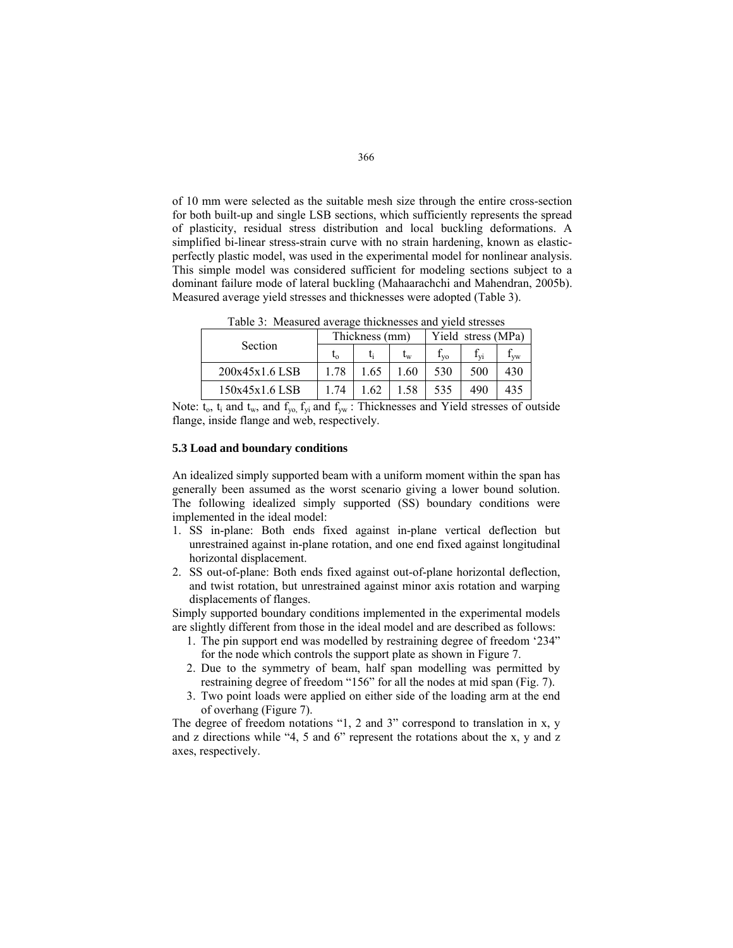of 10 mm were selected as the suitable mesh size through the entire cross-section for both built-up and single LSB sections, which sufficiently represents the spread of plasticity, residual stress distribution and local buckling deformations. A simplified bi-linear stress-strain curve with no strain hardening, known as elasticperfectly plastic model, was used in the experimental model for nonlinear analysis. This simple model was considered sufficient for modeling sections subject to a dominant failure mode of lateral buckling (Mahaarachchi and Mahendran, 2005b). Measured average yield stresses and thicknesses were adopted (Table 3).

Section  $\begin{array}{|c|c|c|c|c|}\n\hline\n\text{F}_\text{to} & \text{F}_\text{to} & \text{Yield stress (MPa)} \\
\hline\n\text{t}_\text{to} & \text{t}_\text{t} & \text{t}_\text{w} & \text{f}_\text{yo} & \text{f}_\text{yi} & \text{f}_\text{yw}\n\hline\n\end{array}$  $t_o$   $t_i$   $t_w$   $f_{yo}$   $f_{yi}$   $f_{yw}$ 200x45x1.6 LSB | 1.78 | 1.65 | 1.60 | 530 | 500 | 430 150x45x1.6 LSB | 1.74 | 1.62 | 1.58 | 535 | 490 | 435

Table 3: Measured average thicknesses and yield stresses

### **5.3 Load and boundary conditions**

An idealized simply supported beam with a uniform moment within the span has generally been assumed as the worst scenario giving a lower bound solution. The following idealized simply supported (SS) boundary conditions were implemented in the ideal model:

- 1. SS in-plane: Both ends fixed against in-plane vertical deflection but unrestrained against in-plane rotation, and one end fixed against longitudinal horizontal displacement.
- 2. SS out-of-plane: Both ends fixed against out-of-plane horizontal deflection, and twist rotation, but unrestrained against minor axis rotation and warping displacements of flanges.

Simply supported boundary conditions implemented in the experimental models are slightly different from those in the ideal model and are described as follows:

- 1. The pin support end was modelled by restraining degree of freedom '234" for the node which controls the support plate as shown in Figure 7.
- 2. Due to the symmetry of beam, half span modelling was permitted by restraining degree of freedom "156" for all the nodes at mid span (Fig. 7).
- 3. Two point loads were applied on either side of the loading arm at the end of overhang (Figure 7).

The degree of freedom notations "1, 2 and 3" correspond to translation in x, y and z directions while "4, 5 and 6" represent the rotations about the x, y and z axes, respectively.

Note:  $t_0$ ,  $t_i$  and  $t_w$ , and  $f_{yo}$ ,  $f_{yi}$  and  $f_{yw}$ : Thicknesses and Yield stresses of outside flange, inside flange and web, respectively.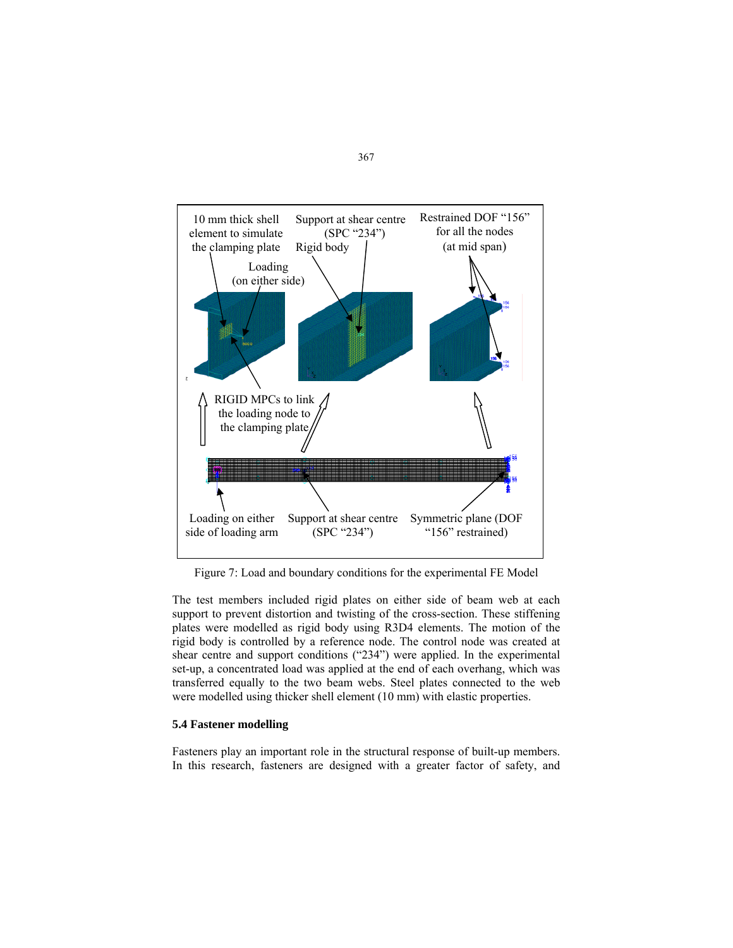

Figure 7: Load and boundary conditions for the experimental FE Model

The test members included rigid plates on either side of beam web at each support to prevent distortion and twisting of the cross-section. These stiffening plates were modelled as rigid body using R3D4 elements. The motion of the rigid body is controlled by a reference node. The control node was created at shear centre and support conditions ("234") were applied. In the experimental set-up, a concentrated load was applied at the end of each overhang, which was transferred equally to the two beam webs. Steel plates connected to the web were modelled using thicker shell element (10 mm) with elastic properties.

# **5.4 Fastener modelling**

Fasteners play an important role in the structural response of built-up members. In this research, fasteners are designed with a greater factor of safety, and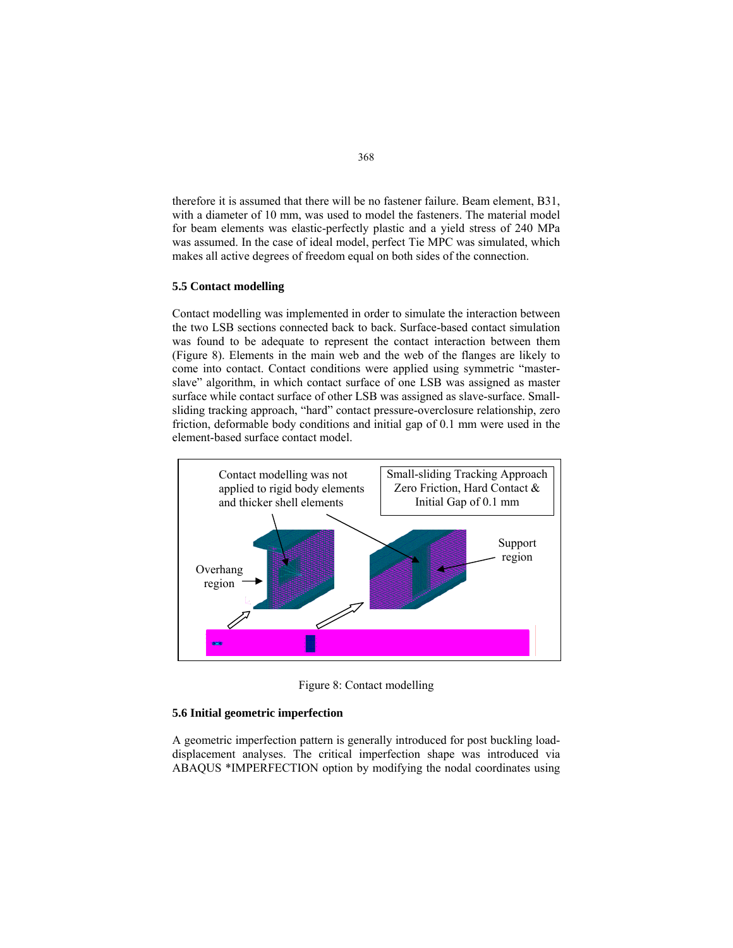therefore it is assumed that there will be no fastener failure. Beam element, B31, with a diameter of 10 mm, was used to model the fasteners. The material model for beam elements was elastic-perfectly plastic and a yield stress of 240 MPa was assumed. In the case of ideal model, perfect Tie MPC was simulated, which makes all active degrees of freedom equal on both sides of the connection.

# **5.5 Contact modelling**

Contact modelling was implemented in order to simulate the interaction between the two LSB sections connected back to back. Surface-based contact simulation was found to be adequate to represent the contact interaction between them (Figure 8). Elements in the main web and the web of the flanges are likely to come into contact. Contact conditions were applied using symmetric "masterslave" algorithm, in which contact surface of one LSB was assigned as master surface while contact surface of other LSB was assigned as slave-surface. Smallsliding tracking approach, "hard" contact pressure-overclosure relationship, zero friction, deformable body conditions and initial gap of 0.1 mm were used in the element-based surface contact model.



Figure 8: Contact modelling

## **5.6 Initial geometric imperfection**

A geometric imperfection pattern is generally introduced for post buckling loaddisplacement analyses. The critical imperfection shape was introduced via ABAQUS \*IMPERFECTION option by modifying the nodal coordinates using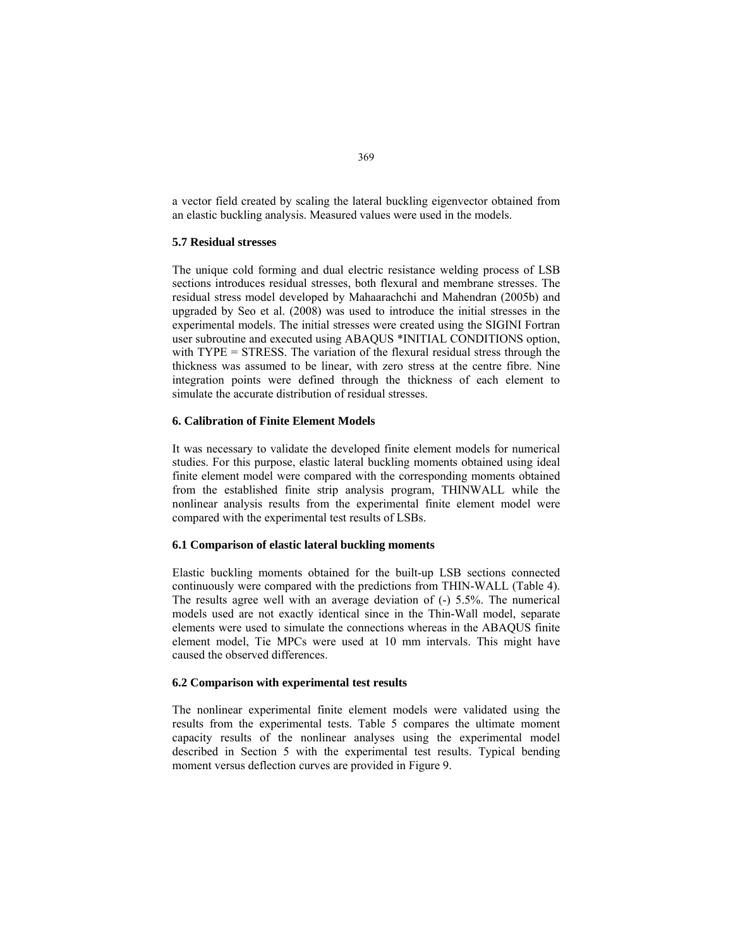a vector field created by scaling the lateral buckling eigenvector obtained from an elastic buckling analysis. Measured values were used in the models.

# **5.7 Residual stresses**

The unique cold forming and dual electric resistance welding process of LSB sections introduces residual stresses, both flexural and membrane stresses. The residual stress model developed by Mahaarachchi and Mahendran (2005b) and upgraded by Seo et al. (2008) was used to introduce the initial stresses in the experimental models. The initial stresses were created using the SIGINI Fortran user subroutine and executed using ABAQUS \*INITIAL CONDITIONS option, with TYPE = STRESS. The variation of the flexural residual stress through the thickness was assumed to be linear, with zero stress at the centre fibre. Nine integration points were defined through the thickness of each element to simulate the accurate distribution of residual stresses.

# **6. Calibration of Finite Element Models**

It was necessary to validate the developed finite element models for numerical studies. For this purpose, elastic lateral buckling moments obtained using ideal finite element model were compared with the corresponding moments obtained from the established finite strip analysis program, THINWALL while the nonlinear analysis results from the experimental finite element model were compared with the experimental test results of LSBs.

# **6.1 Comparison of elastic lateral buckling moments**

Elastic buckling moments obtained for the built-up LSB sections connected continuously were compared with the predictions from THIN-WALL (Table 4). The results agree well with an average deviation of (-) 5.5%. The numerical models used are not exactly identical since in the Thin-Wall model, separate elements were used to simulate the connections whereas in the ABAQUS finite element model, Tie MPCs were used at 10 mm intervals. This might have caused the observed differences.

#### **6.2 Comparison with experimental test results**

The nonlinear experimental finite element models were validated using the results from the experimental tests. Table 5 compares the ultimate moment capacity results of the nonlinear analyses using the experimental model described in Section 5 with the experimental test results. Typical bending moment versus deflection curves are provided in Figure 9.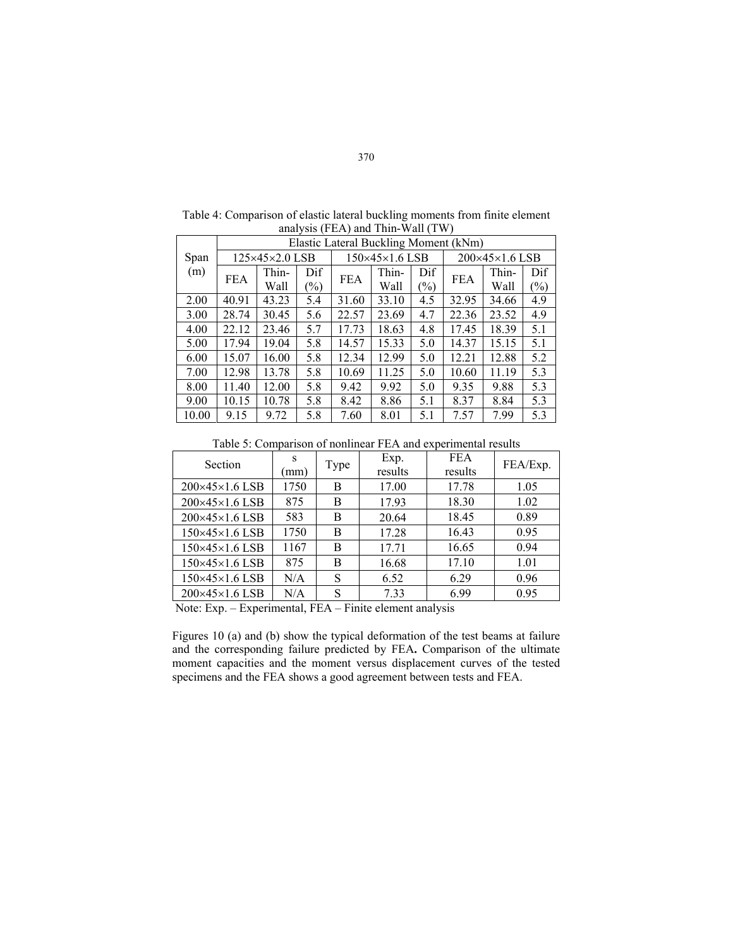|       | Elastic Lateral Buckling Moment (kNm) |                |        |                |       |        |            |                |        |  |
|-------|---------------------------------------|----------------|--------|----------------|-------|--------|------------|----------------|--------|--|
| Span  |                                       | 125×45×2.0 LSB |        | 150×45×1.6 LSB |       |        |            | 200×45×1.6 LSB |        |  |
| (m)   | <b>FEA</b>                            | Thin-          | Dif    | <b>FEA</b>     | Thin- | Dif    | <b>FEA</b> | Thin-          | Dif    |  |
|       |                                       | Wall           | $(\%)$ |                | Wall  | $(\%)$ |            | Wall           | $(\%)$ |  |
| 2.00  | 40.91                                 | 43.23          | 5.4    | 31.60          | 33.10 | 4.5    | 32.95      | 34.66          | 4.9    |  |
| 3.00  | 28.74                                 | 30.45          | 5.6    | 22.57          | 23.69 | 4.7    | 22.36      | 23.52          | 4.9    |  |
| 4.00  | 22.12                                 | 23.46          | 5.7    | 17.73          | 18.63 | 4.8    | 17.45      | 18.39          | 5.1    |  |
| 5.00  | 17.94                                 | 19.04          | 5.8    | 14.57          | 15.33 | 5.0    | 14.37      | 15.15          | 5.1    |  |
| 6.00  | 15.07                                 | 16.00          | 5.8    | 12.34          | 12.99 | 5.0    | 12.21      | 12.88          | 5.2    |  |
| 7.00  | 12.98                                 | 13.78          | 5.8    | 10.69          | 11.25 | 5.0    | 10.60      | 11.19          | 5.3    |  |
| 8.00  | 11.40                                 | 12.00          | 5.8    | 9.42           | 9.92  | 5.0    | 9.35       | 9.88           | 5.3    |  |
| 9.00  | 10.15                                 | 10.78          | 5.8    | 8.42           | 8.86  | 5.1    | 8.37       | 8.84           | 5.3    |  |
| 10.00 | 9.15                                  | 9.72           | 5.8    | 7.60           | 8.01  | 5.1    | 7.57       | 7.99           | 5.3    |  |

Table 4: Comparison of elastic lateral buckling moments from finite element analysis (FEA) and Thin-Wall (TW)

Table 5: Comparison of nonlinear FEA and experimental results

| Section                    | S<br>(mm) | Type | Exp.<br>results | <b>FEA</b><br>results | FEA/Exp. |
|----------------------------|-----------|------|-----------------|-----------------------|----------|
| $200\times45\times1.6$ LSB | 1750      | В    | 17.00           | 17.78                 | 1.05     |
| 200×45×1.6 LSB             | 875       | B    | 17.93           | 18.30                 | 1.02     |
| 200×45×1.6 LSB             | 583       | B    | 20.64           | 18.45                 | 0.89     |
| 150×45×1.6 LSB             | 1750      | B    | 17.28           | 16.43                 | 0.95     |
| 150×45×1.6 LSB             | 1167      | B    | 17.71           | 16.65                 | 0.94     |
| $150\times45\times1.6$ LSB | 875       | B    | 16.68           | 17.10                 | 1.01     |
| 150×45×1.6 LSB             | N/A       | S    | 6.52            | 6.29                  | 0.96     |
| 200×45×1.6 LSB             | N/A       | S    | 7.33            | 6.99                  | 0.95     |

Note: Exp. – Experimental, FEA – Finite element analysis

Figures 10 (a) and (b) show the typical deformation of the test beams at failure and the corresponding failure predicted by FEA**.** Comparison of the ultimate moment capacities and the moment versus displacement curves of the tested specimens and the FEA shows a good agreement between tests and FEA.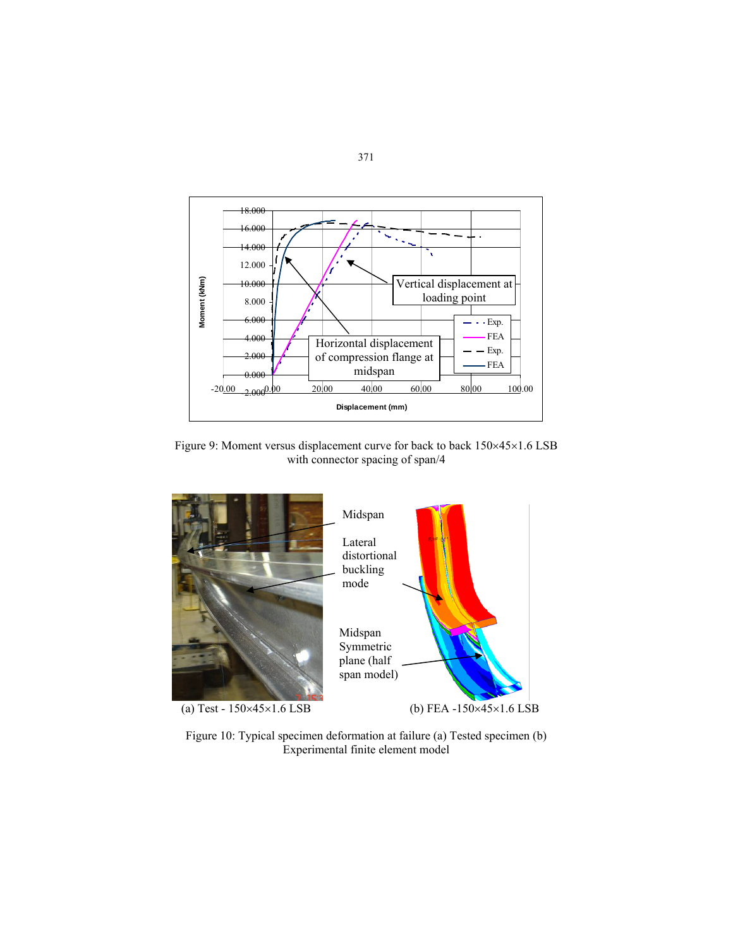

Figure 9: Moment versus displacement curve for back to back 150×45×1.6 LSB with connector spacing of span/4



Figure 10: Typical specimen deformation at failure (a) Tested specimen (b) Experimental finite element model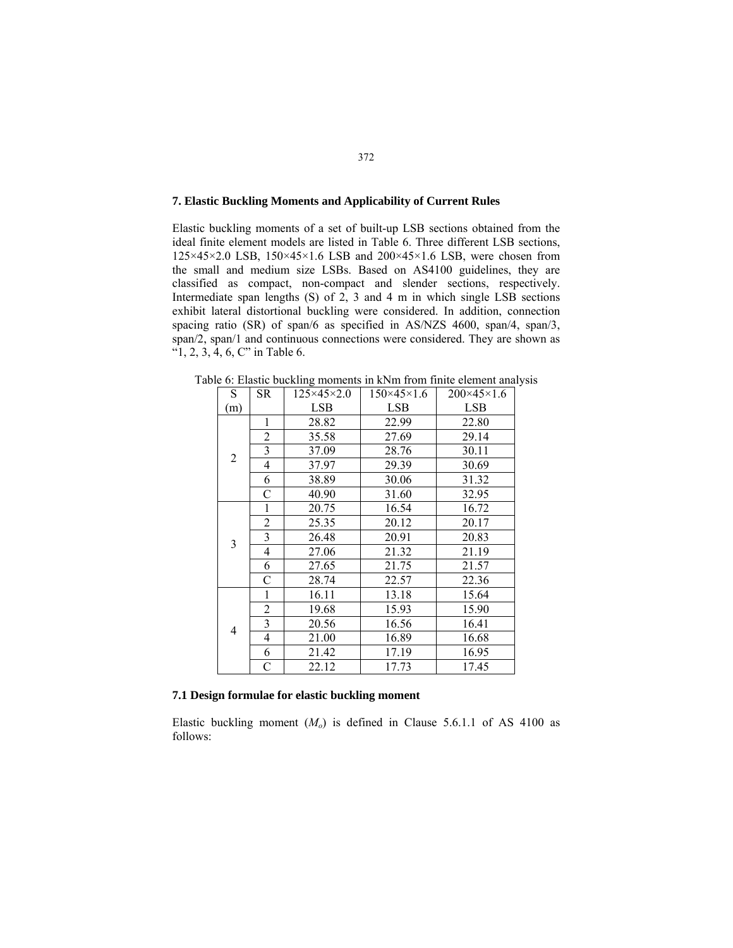#### **7. Elastic Buckling Moments and Applicability of Current Rules**

Elastic buckling moments of a set of built-up LSB sections obtained from the ideal finite element models are listed in Table 6. Three different LSB sections, 125×45×2.0 LSB, 150×45×1.6 LSB and 200×45×1.6 LSB, were chosen from the small and medium size LSBs. Based on AS4100 guidelines, they are classified as compact, non-compact and slender sections, respectively. Intermediate span lengths (S) of 2, 3 and 4 m in which single LSB sections exhibit lateral distortional buckling were considered. In addition, connection spacing ratio (SR) of span/6 as specified in AS/NZS 4600, span/4, span/3, span/2, span/1 and continuous connections were considered. They are shown as "1, 2, 3, 4, 6, C" in Table 6.

| S              | SR             | $125\times45\times2.0$ | $150 \times 45 \times 1.6$ | $200 \times 45 \times 1.6$ |
|----------------|----------------|------------------------|----------------------------|----------------------------|
| (m)            |                | LSB                    | LSB                        | <b>LSB</b>                 |
|                | 1              | 28.82                  | 22.99                      | 22.80                      |
|                | $\overline{2}$ | 35.58                  | 27.69                      | 29.14                      |
| $\overline{2}$ | 3              | 37.09                  | 28.76                      | 30.11                      |
|                | 4              | 37.97                  | 29.39                      | 30.69                      |
|                | 6              | 38.89                  | 30.06                      | 31.32                      |
|                | $\mathcal{C}$  | 40.90                  | 31.60                      | 32.95                      |
|                | 1              | 20.75                  | 16.54                      | 16.72                      |
|                | $\overline{2}$ | 25.35                  | 20.12                      | 20.17                      |
| 3              | 3              | 26.48                  | 20.91                      | 20.83                      |
|                | 4              | 27.06                  | 21.32                      | 21.19                      |
|                | 6              | 27.65                  | 21.75                      | 21.57                      |
|                | $\mathcal{C}$  | 28.74                  | 22.57                      | 22.36                      |
|                | 1              | 16.11                  | 13.18                      | 15.64                      |
|                | $\overline{c}$ | 19.68                  | 15.93                      | 15.90                      |
| 4              | 3              | 20.56                  | 16.56                      | 16.41                      |
|                | 4              | 21.00                  | 16.89                      | 16.68                      |
|                | 6              | 21.42                  | 17.19                      | 16.95                      |
|                | $\mathcal{C}$  | 22.12                  | 17.73                      | 17.45                      |

Table 6: Elastic buckling moments in kNm from finite element analysis

#### **7.1 Design formulae for elastic buckling moment**

Elastic buckling moment  $(M<sub>o</sub>)$  is defined in Clause 5.6.1.1 of AS 4100 as follows: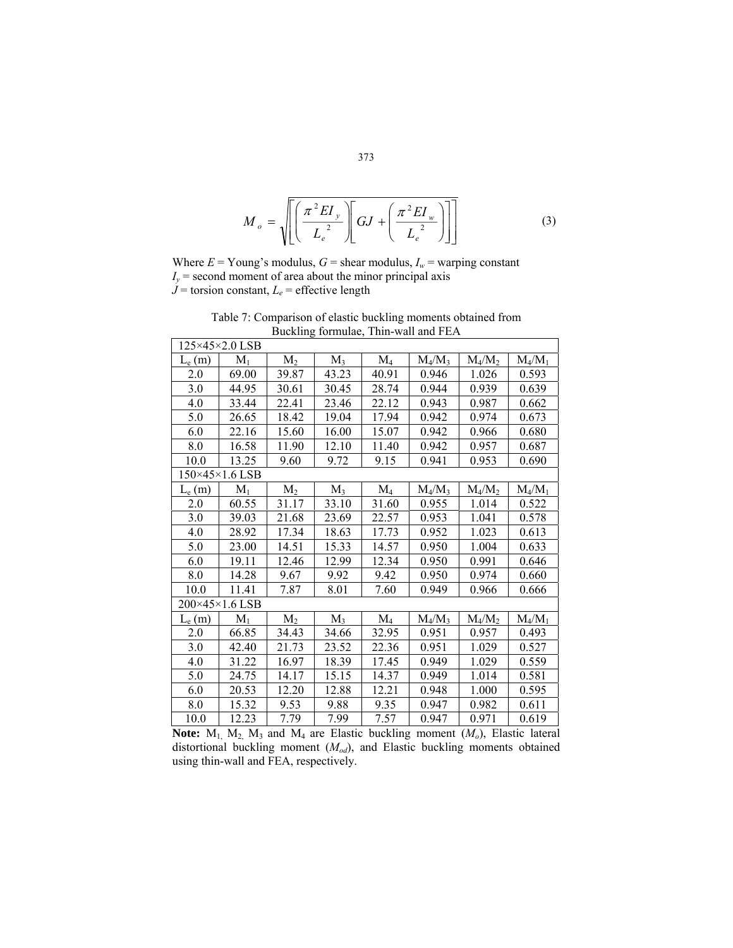$$
M_o = \sqrt{\left[\left(\frac{\pi^2 E I_y}{L_e^2}\right) \left[ G J + \left(\frac{\pi^2 E I_w}{L_e^2}\right) \right]\right]}
$$
(3)

Where  $E = \text{Young's modulus}, G = \text{shear modulus}, I_w = \text{warping constant}$  $I_y$  = second moment of area about the minor principal axis  $\hat{J}$  = torsion constant,  $L_e$  = effective length

Table 7: Comparison of elastic buckling moments obtained from Buckling formulae, Thin-wall and FEA

|          | $125\times45\times2.0$ LSB |       |       |       |           |           |           |
|----------|----------------------------|-------|-------|-------|-----------|-----------|-----------|
| $L_e(m)$ | $M_1$                      | $M_2$ | $M_3$ | $M_4$ | $M_4/M_3$ | $M_4/M_2$ | $M_4/M_1$ |
| 2.0      | 69.00                      | 39.87 | 43.23 | 40.91 | 0.946     | 1.026     | 0.593     |
| 3.0      | 44.95                      | 30.61 | 30.45 | 28.74 | 0.944     | 0.939     | 0.639     |
| 4.0      | 33.44                      | 22.41 | 23.46 | 22.12 | 0.943     | 0.987     | 0.662     |
| 5.0      | 26.65                      | 18.42 | 19.04 | 17.94 | 0.942     | 0.974     | 0.673     |
| 6.0      | 22.16                      | 15.60 | 16.00 | 15.07 | 0.942     | 0.966     | 0.680     |
| 8.0      | 16.58                      | 11.90 | 12.10 | 11.40 | 0.942     | 0.957     | 0.687     |
| 10.0     | 13.25                      | 9.60  | 9.72  | 9.15  | 0.941     | 0.953     | 0.690     |
|          | 150×45×1.6 LSB             |       |       |       |           |           |           |
| $L_e(m)$ | $M_1$                      | $M_2$ | $M_3$ | $M_4$ | $M_4/M_3$ | $M_4/M_2$ | $M_4/M_1$ |
| 2.0      | 60.55                      | 31.17 | 33.10 | 31.60 | 0.955     | 1.014     | 0.522     |
| 3.0      | 39.03                      | 21.68 | 23.69 | 22.57 | 0.953     | 1.041     | 0.578     |
| 4.0      | 28.92                      | 17.34 | 18.63 | 17.73 | 0.952     | 1.023     | 0.613     |
| 5.0      | 23.00                      | 14.51 | 15.33 | 14.57 | 0.950     | 1.004     | 0.633     |
| 6.0      | 19.11                      | 12.46 | 12.99 | 12.34 | 0.950     | 0.991     | 0.646     |
| 8.0      | 14.28                      | 9.67  | 9.92  | 9.42  | 0.950     | 0.974     | 0.660     |
| 10.0     | 11.41                      | 7.87  | 8.01  | 7.60  | 0.949     | 0.966     | 0.666     |
|          | 200×45×1.6 LSB             |       |       |       |           |           |           |
| $L_e(m)$ | $M_1$                      | $M_2$ | $M_3$ | $M_4$ | $M_4/M_3$ | $M_4/M_2$ | $M_4/M_1$ |
| 2.0      | 66.85                      | 34.43 | 34.66 | 32.95 | 0.951     | 0.957     | 0.493     |
| 3.0      | 42.40                      | 21.73 | 23.52 | 22.36 | 0.951     | 1.029     | 0.527     |
| 4.0      | 31.22                      | 16.97 | 18.39 | 17.45 | 0.949     | 1.029     | 0.559     |
| 5.0      | 24.75                      | 14.17 | 15.15 | 14.37 | 0.949     | 1.014     | 0.581     |
| 6.0      | 20.53                      | 12.20 | 12.88 | 12.21 | 0.948     | 1.000     | 0.595     |
| 8.0      | 15.32                      | 9.53  | 9.88  | 9.35  | 0.947     | 0.982     | 0.611     |
| 10.0     | 12.23                      | 7.79  | 7.99  | 7.57  | 0.947     | 0.971     | 0.619     |

**Note:**  $M_1$ ,  $M_2$ ,  $M_3$  and  $M_4$  are Elastic buckling moment  $(M_o)$ , Elastic lateral distortional buckling moment (*Mod*), and Elastic buckling moments obtained using thin-wall and FEA, respectively.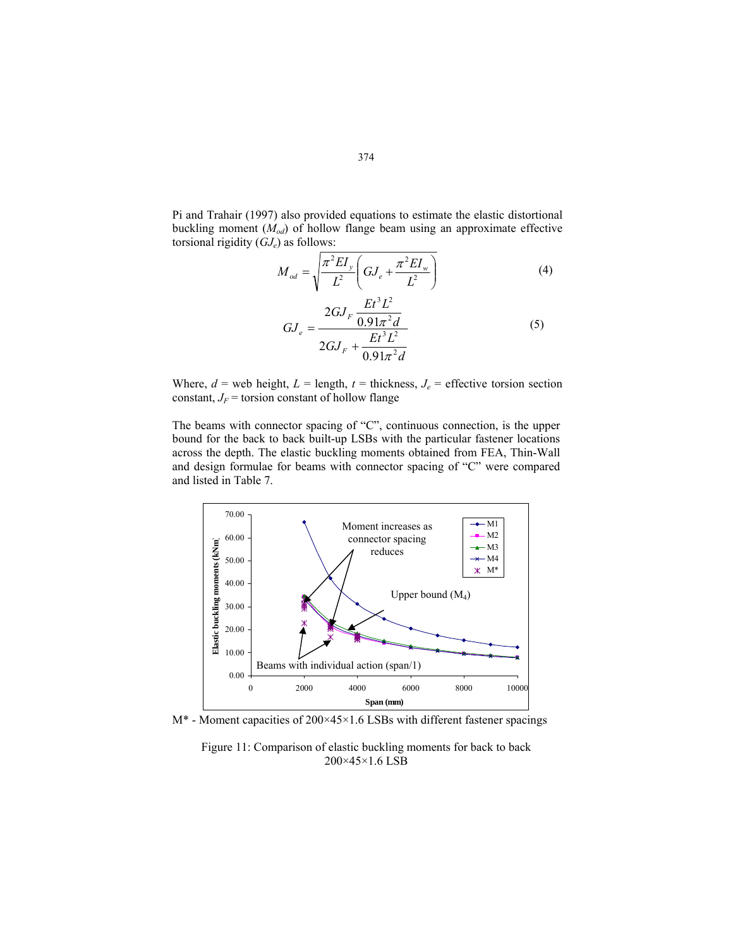Pi and Trahair (1997) also provided equations to estimate the elastic distortional buckling moment (*Mod*) of hollow flange beam using an approximate effective torsional rigidity  $(GJ_e)$  as follows:

$$
M_{od} = \sqrt{\frac{\pi^2 EI_y}{L^2} \left( GJ_e + \frac{\pi^2 EI_w}{L^2} \right)}
$$
(4)

$$
GJ_e = \frac{2GJ_F \frac{Et^3L^2}{0.91\pi^2 d}}{2GJ_F + \frac{Et^3L^2}{0.91\pi^2 d}}
$$
(5)

Where,  $d$  = web height,  $L$  = length,  $t$  = thickness,  $J_e$  = effective torsion section constant,  $J_F$  = torsion constant of hollow flange

The beams with connector spacing of "C", continuous connection, is the upper bound for the back to back built-up LSBs with the particular fastener locations across the depth. The elastic buckling moments obtained from FEA, Thin-Wall and design formulae for beams with connector spacing of "C" were compared and listed in Table 7.



M\* - Moment capacities of 200×45×1.6 LSBs with different fastener spacings

Figure 11: Comparison of elastic buckling moments for back to back 200×45×1.6 LSB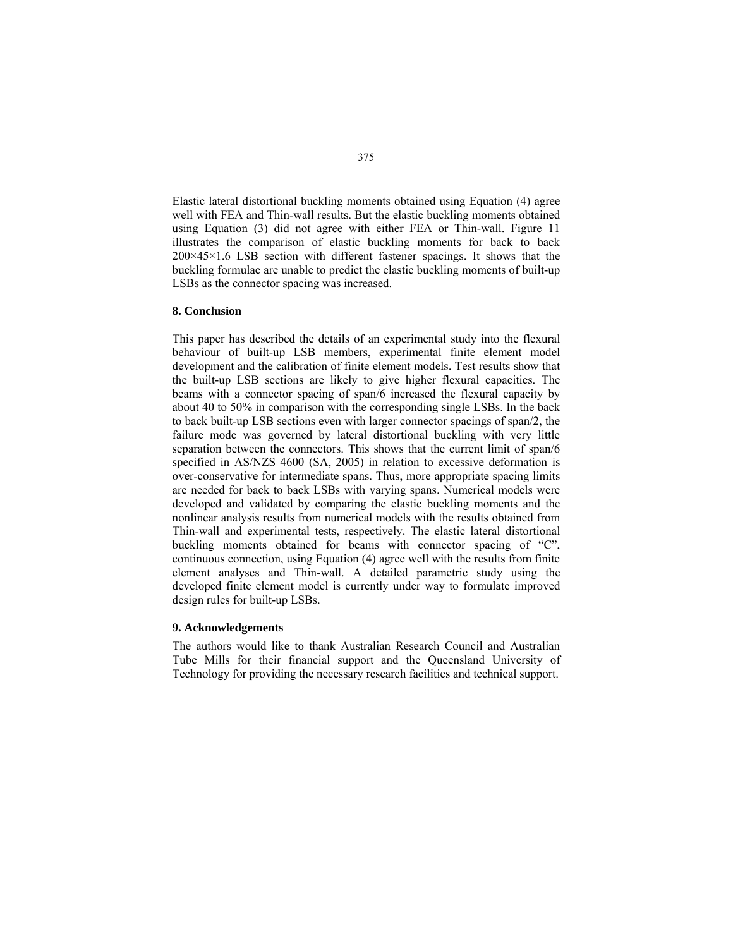Elastic lateral distortional buckling moments obtained using Equation (4) agree well with FEA and Thin-wall results. But the elastic buckling moments obtained using Equation (3) did not agree with either FEA or Thin-wall. Figure 11 illustrates the comparison of elastic buckling moments for back to back 200×45×1.6 LSB section with different fastener spacings. It shows that the buckling formulae are unable to predict the elastic buckling moments of built-up LSBs as the connector spacing was increased.

#### **8. Conclusion**

This paper has described the details of an experimental study into the flexural behaviour of built-up LSB members, experimental finite element model development and the calibration of finite element models. Test results show that the built-up LSB sections are likely to give higher flexural capacities. The beams with a connector spacing of span/6 increased the flexural capacity by about 40 to 50% in comparison with the corresponding single LSBs. In the back to back built-up LSB sections even with larger connector spacings of span/2, the failure mode was governed by lateral distortional buckling with very little separation between the connectors. This shows that the current limit of span/6 specified in AS/NZS 4600 (SA, 2005) in relation to excessive deformation is over-conservative for intermediate spans. Thus, more appropriate spacing limits are needed for back to back LSBs with varying spans. Numerical models were developed and validated by comparing the elastic buckling moments and the nonlinear analysis results from numerical models with the results obtained from Thin-wall and experimental tests, respectively. The elastic lateral distortional buckling moments obtained for beams with connector spacing of "C", continuous connection, using Equation (4) agree well with the results from finite element analyses and Thin-wall. A detailed parametric study using the developed finite element model is currently under way to formulate improved design rules for built-up LSBs.

## **9. Acknowledgements**

The authors would like to thank Australian Research Council and Australian Tube Mills for their financial support and the Queensland University of Technology for providing the necessary research facilities and technical support.